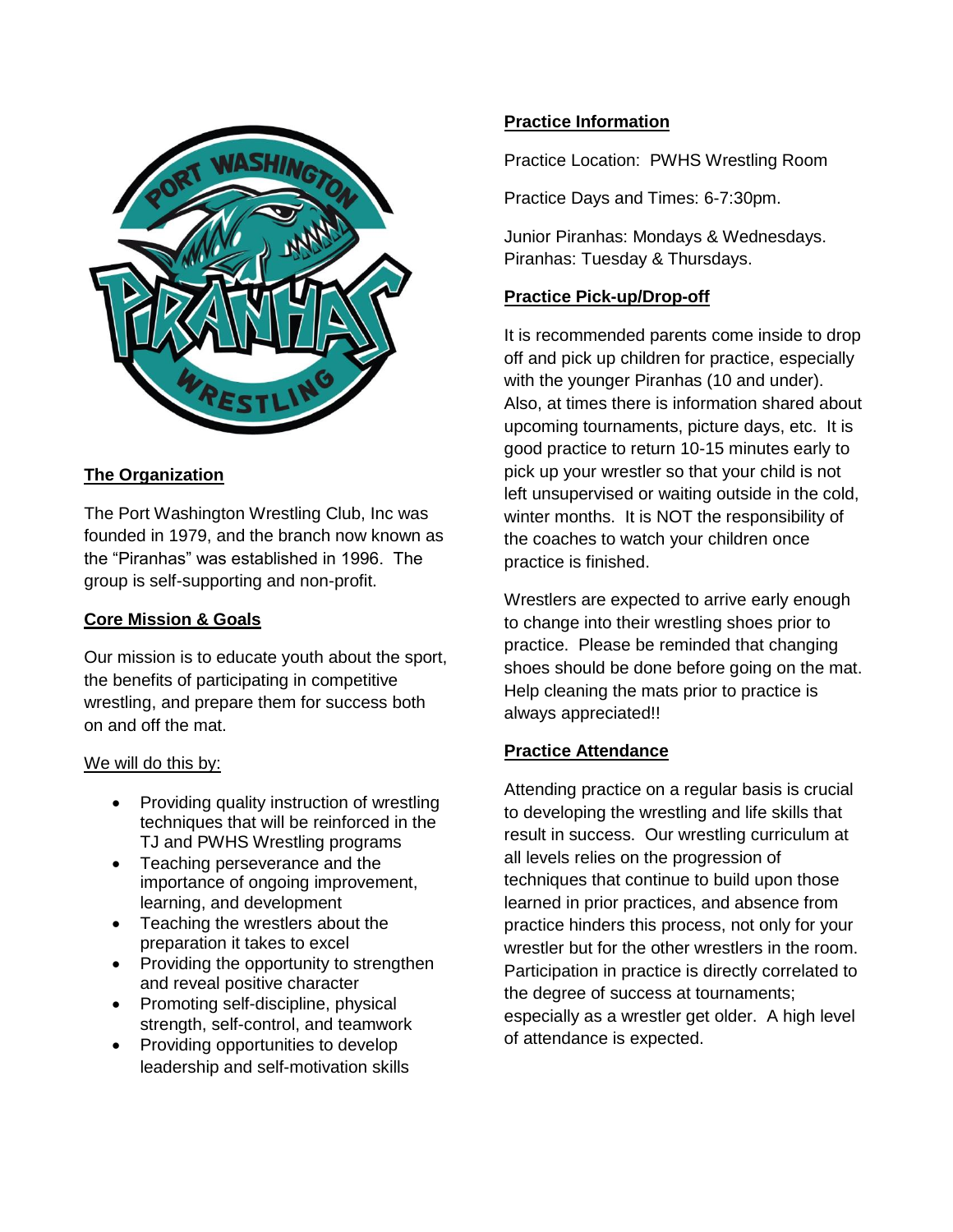

# **The Organization**

The Port Washington Wrestling Club, Inc was founded in 1979, and the branch now known as the "Piranhas" was established in 1996. The group is self-supporting and non-profit.

## **Core Mission & Goals**

Our mission is to educate youth about the sport, the benefits of participating in competitive wrestling, and prepare them for success both on and off the mat.

#### We will do this by:

- Providing quality instruction of wrestling techniques that will be reinforced in the TJ and PWHS Wrestling programs
- Teaching perseverance and the importance of ongoing improvement, learning, and development
- Teaching the wrestlers about the preparation it takes to excel
- Providing the opportunity to strengthen and reveal positive character
- Promoting self-discipline, physical strength, self-control, and teamwork
- Providing opportunities to develop leadership and self-motivation skills

## **Practice Information**

Practice Location: PWHS Wrestling Room

Practice Days and Times: 6-7:30pm.

Junior Piranhas: Mondays & Wednesdays. Piranhas: Tuesday & Thursdays.

#### **Practice Pick-up/Drop-off**

It is recommended parents come inside to drop off and pick up children for practice, especially with the younger Piranhas (10 and under). Also, at times there is information shared about upcoming tournaments, picture days, etc. It is good practice to return 10-15 minutes early to pick up your wrestler so that your child is not left unsupervised or waiting outside in the cold, winter months. It is NOT the responsibility of the coaches to watch your children once practice is finished.

Wrestlers are expected to arrive early enough to change into their wrestling shoes prior to practice. Please be reminded that changing shoes should be done before going on the mat. Help cleaning the mats prior to practice is always appreciated!!

## **Practice Attendance**

Attending practice on a regular basis is crucial to developing the wrestling and life skills that result in success. Our wrestling curriculum at all levels relies on the progression of techniques that continue to build upon those learned in prior practices, and absence from practice hinders this process, not only for your wrestler but for the other wrestlers in the room. Participation in practice is directly correlated to the degree of success at tournaments; especially as a wrestler get older. A high level of attendance is expected.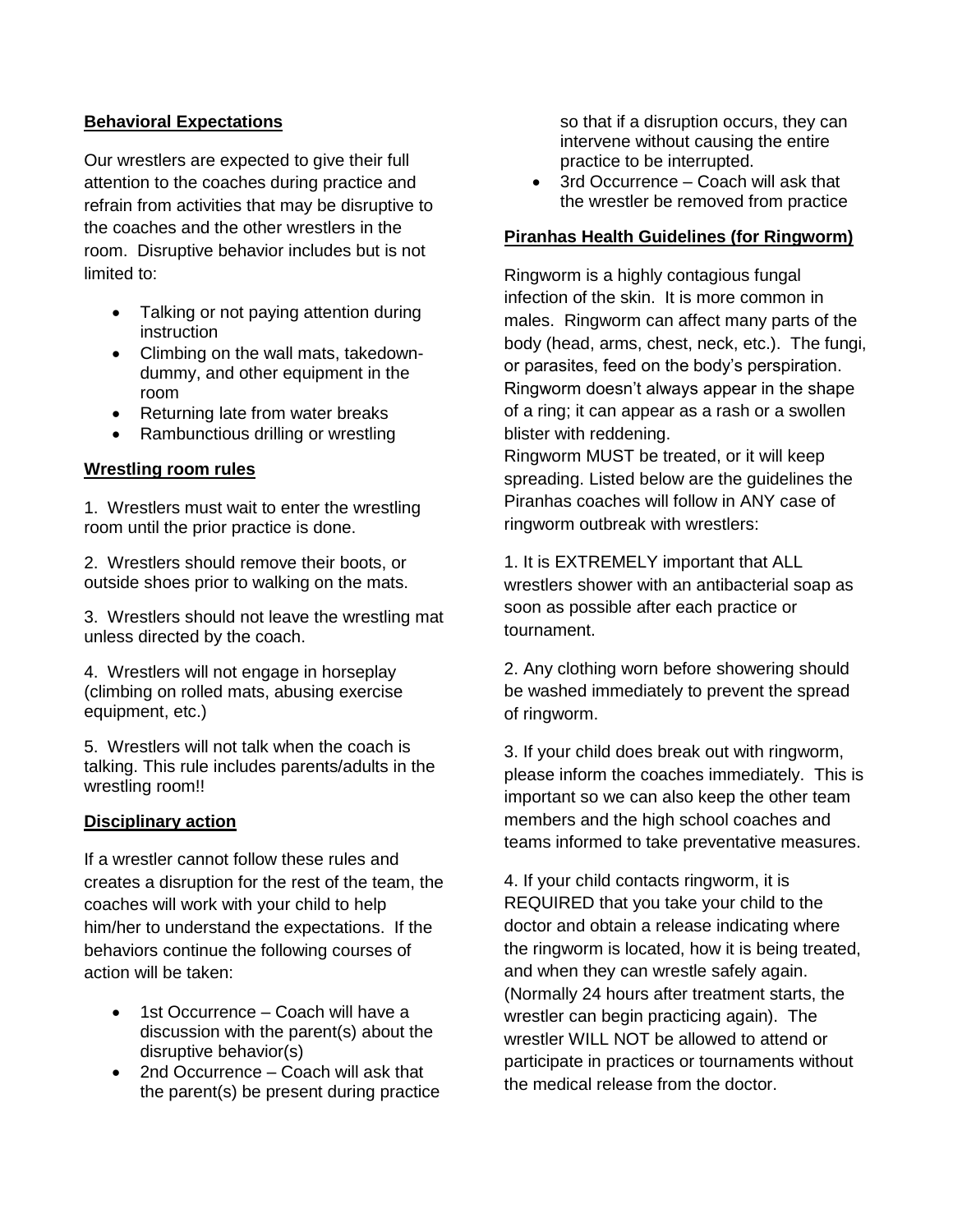### **Behavioral Expectations**

Our wrestlers are expected to give their full attention to the coaches during practice and refrain from activities that may be disruptive to the coaches and the other wrestlers in the room. Disruptive behavior includes but is not limited to:

- Talking or not paying attention during instruction
- Climbing on the wall mats, takedowndummy, and other equipment in the room
- Returning late from water breaks
- Rambunctious drilling or wrestling

### **Wrestling room rules**

1. Wrestlers must wait to enter the wrestling room until the prior practice is done.

2. Wrestlers should remove their boots, or outside shoes prior to walking on the mats.

3. Wrestlers should not leave the wrestling mat unless directed by the coach.

4. Wrestlers will not engage in horseplay (climbing on rolled mats, abusing exercise equipment, etc.)

5. Wrestlers will not talk when the coach is talking. This rule includes parents/adults in the wrestling room!!

#### **Disciplinary action**

If a wrestler cannot follow these rules and creates a disruption for the rest of the team, the coaches will work with your child to help him/her to understand the expectations. If the behaviors continue the following courses of action will be taken:

- 1st Occurrence Coach will have a discussion with the parent(s) about the disruptive behavior(s)
- 2nd Occurrence Coach will ask that the parent(s) be present during practice

so that if a disruption occurs, they can intervene without causing the entire practice to be interrupted.

• 3rd Occurrence – Coach will ask that the wrestler be removed from practice

### **Piranhas Health Guidelines (for Ringworm)**

Ringworm is a highly contagious fungal infection of the skin. It is more common in males. Ringworm can affect many parts of the body (head, arms, chest, neck, etc.). The fungi, or parasites, feed on the body's perspiration. Ringworm doesn't always appear in the shape of a ring; it can appear as a rash or a swollen blister with reddening.

Ringworm MUST be treated, or it will keep spreading. Listed below are the guidelines the Piranhas coaches will follow in ANY case of ringworm outbreak with wrestlers:

1. It is EXTREMELY important that ALL wrestlers shower with an antibacterial soap as soon as possible after each practice or tournament.

2. Any clothing worn before showering should be washed immediately to prevent the spread of ringworm.

3. If your child does break out with ringworm, please inform the coaches immediately. This is important so we can also keep the other team members and the high school coaches and teams informed to take preventative measures.

4. If your child contacts ringworm, it is REQUIRED that you take your child to the doctor and obtain a release indicating where the ringworm is located, how it is being treated, and when they can wrestle safely again. (Normally 24 hours after treatment starts, the wrestler can begin practicing again). The wrestler WILL NOT be allowed to attend or participate in practices or tournaments without the medical release from the doctor.